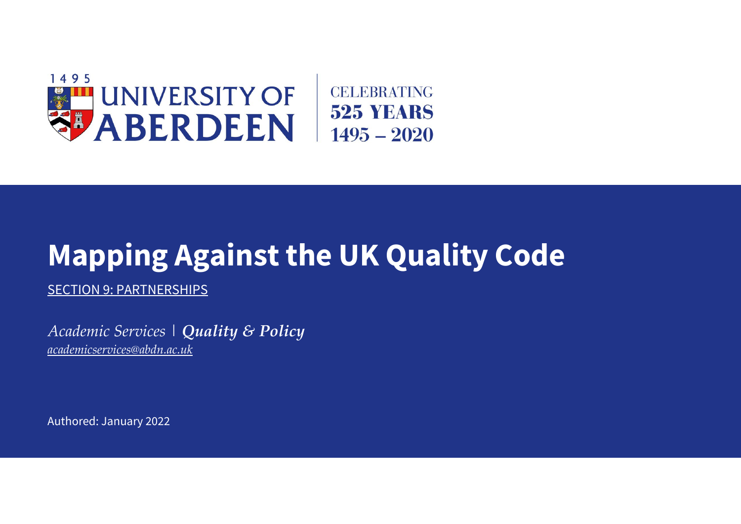

## **Mapping Against the UK Quality Code**

SECTION 9: PARTNERSHIPS

*Academic Services | Quality & Policy [academicservices@abdn.ac.uk](mailto:academicservices@abdn.ac.uk)*

Authored: January 2022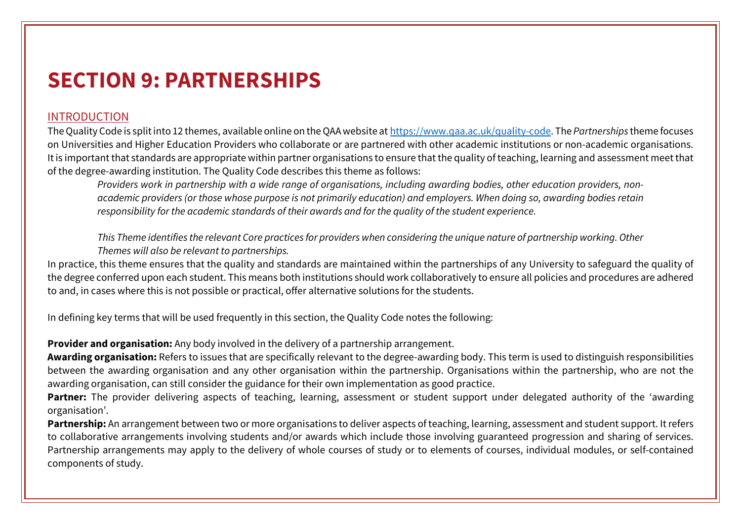## **SECTION 9: PARTNERSHIPS**

## INTRODUCTION

The Quality Code is split into 12 themes, available online on the QAA website at [https://www.qaa.ac.uk/quality-code.](https://www.qaa.ac.uk/quality-code) The *Partnerships* theme focuses on Universities and Higher Education Providers who collaborate or are partnered with other academic institutions or non-academic organisations. It is important that standards are appropriate within partner organisations to ensure that the quality of teaching, learning and assessment meet that of the degree-awarding institution. The Quality Code describes this theme as follows:

*Providers work in partnership with a wide range of organisations, including awarding bodies, other education providers, nonacademic providers (or those whose purpose is not primarily education) and employers. When doing so, awarding bodies retain responsibility for the academic standards of their awards and for the quality of the student experience.* 

*This Theme identifies the relevant Core practices for providers when considering the unique nature of partnership working. Other Themes will also be relevant to partnerships.*

In practice, this theme ensures that the quality and standards are maintained within the partnerships of any University to safeguard the quality of the degree conferred upon each student. This means both institutions should work collaboratively to ensure all policies and procedures are adhered to and, in cases where this is not possible or practical, offer alternative solutions for the students.

In defining key terms that will be used frequently in this section, the Quality Code notes the following:

**Provider and organisation:** Any body involved in the delivery of a partnership arrangement.

**Awarding organisation:** Refers to issues that are specifically relevant to the degree-awarding body. This term is used to distinguish responsibilities between the awarding organisation and any other organisation within the partnership. Organisations within the partnership, who are not the awarding organisation, can still consider the guidance for their own implementation as good practice.

Partner: The provider delivering aspects of teaching, learning, assessment or student support under delegated authority of the 'awarding organisation'.

**Partnership:** An arrangement between two or more organisations to deliver aspects of teaching, learning, assessment and student support. It refers to collaborative arrangements involving students and/or awards which include those involving guaranteed progression and sharing of services. Partnership arrangements may apply to the delivery of whole courses of study or to elements of courses, individual modules, or self-contained components of study.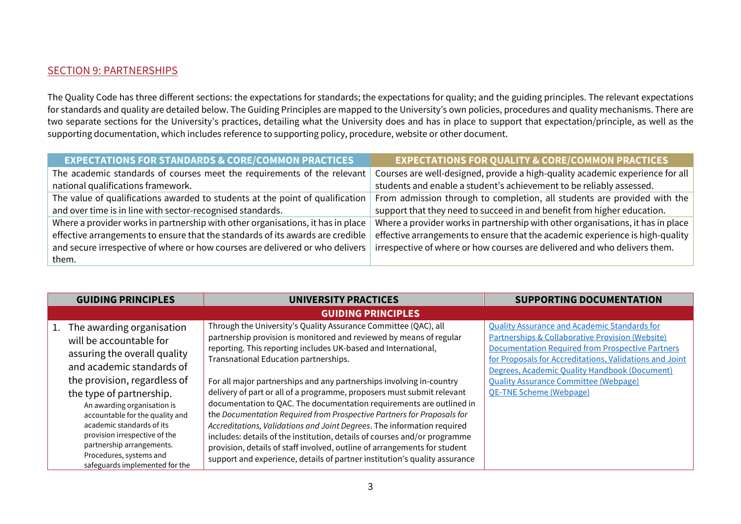## SECTION 9: PARTNERSHIPS

The Quality Code has three different sections: the expectations for standards; the expectations for quality; and the guiding principles. The relevant expectations for standards and quality are detailed below. The Guiding Principles are mapped to the University's own policies, procedures and quality mechanisms. There are two separate sections for the University's practices, detailing what the University does and has in place to support that expectation/principle, as well as the supporting documentation, which includes reference to supporting policy, procedure, website or other document.

| <b>EXPECTATIONS FOR STANDARDS &amp; CORE/COMMON PRACTICES</b>                   | <b>EXPECTATIONS FOR QUALITY &amp; CORE/COMMON PRACTICES</b>                     |
|---------------------------------------------------------------------------------|---------------------------------------------------------------------------------|
| The academic standards of courses meet the requirements of the relevant         | Courses are well-designed, provide a high-quality academic experience for all   |
| national qualifications framework.                                              | students and enable a student's achievement to be reliably assessed.            |
| The value of qualifications awarded to students at the point of qualification   | From admission through to completion, all students are provided with the        |
| and over time is in line with sector-recognised standards.                      | support that they need to succeed in and benefit from higher education.         |
| Where a provider works in partnership with other organisations, it has in place | Where a provider works in partnership with other organisations, it has in place |
| effective arrangements to ensure that the standards of its awards are credible  | effective arrangements to ensure that the academic experience is high-quality   |
| and secure irrespective of where or how courses are delivered or who delivers   | irrespective of where or how courses are delivered and who delivers them.       |
| them.                                                                           |                                                                                 |

| <b>GUIDING PRINCIPLES</b>                                                                                                                                                                                                                                                                                                                                                                                  | <b>UNIVERSITY PRACTICES</b>                                                                                                                                                                                                                                                                                                                                                                                                                                                                                                                                                                                                                                                                                                                                                                                                                                              | <b>SUPPORTING DOCUMENTATION</b>                                                                                                                                                                                                                                                                                                                                      |
|------------------------------------------------------------------------------------------------------------------------------------------------------------------------------------------------------------------------------------------------------------------------------------------------------------------------------------------------------------------------------------------------------------|--------------------------------------------------------------------------------------------------------------------------------------------------------------------------------------------------------------------------------------------------------------------------------------------------------------------------------------------------------------------------------------------------------------------------------------------------------------------------------------------------------------------------------------------------------------------------------------------------------------------------------------------------------------------------------------------------------------------------------------------------------------------------------------------------------------------------------------------------------------------------|----------------------------------------------------------------------------------------------------------------------------------------------------------------------------------------------------------------------------------------------------------------------------------------------------------------------------------------------------------------------|
|                                                                                                                                                                                                                                                                                                                                                                                                            | <b>GUIDING PRINCIPLES</b>                                                                                                                                                                                                                                                                                                                                                                                                                                                                                                                                                                                                                                                                                                                                                                                                                                                |                                                                                                                                                                                                                                                                                                                                                                      |
| 1. The awarding organisation<br>will be accountable for<br>assuring the overall quality<br>and academic standards of<br>the provision, regardless of<br>the type of partnership.<br>An awarding organisation is<br>accountable for the quality and<br>academic standards of its<br>provision irrespective of the<br>partnership arrangements.<br>Procedures, systems and<br>safeguards implemented for the | Through the University's Quality Assurance Committee (QAC), all<br>partnership provision is monitored and reviewed by means of regular<br>reporting. This reporting includes UK-based and International,<br>Transnational Education partnerships.<br>For all major partnerships and any partnerships involving in-country<br>delivery of part or all of a programme, proposers must submit relevant<br>documentation to QAC. The documentation requirements are outlined in<br>the Documentation Required from Prospective Partners for Proposals for<br>Accreditations, Validations and Joint Degrees. The information required<br>includes: details of the institution, details of courses and/or programme<br>provision, details of staff involved, outline of arrangements for student<br>support and experience, details of partner institution's quality assurance | <b>Quality Assurance and Academic Standards for</b><br><b>Partnerships &amp; Collaborative Provision (Website)</b><br>Documentation Required from Prospective Partners<br>for Proposals for Accreditations, Validations and Joint<br>Degrees, Academic Quality Handbook (Document)<br><b>Quality Assurance Committee (Webpage)</b><br><b>OE-TNE Scheme (Webpage)</b> |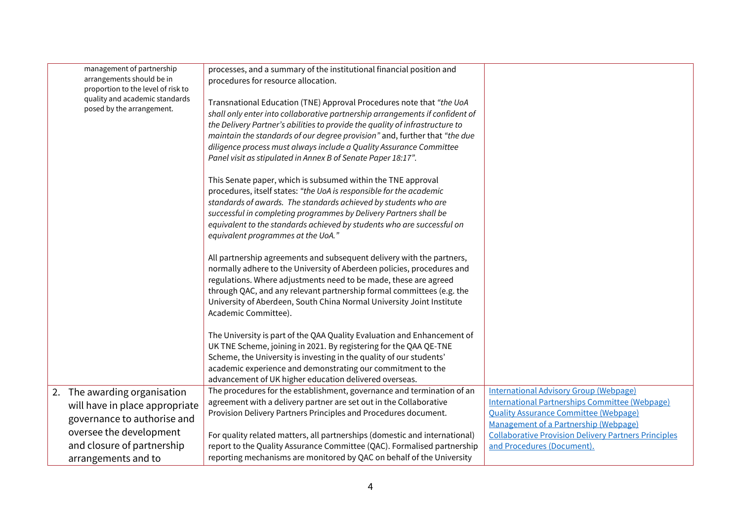| management of partnership<br>arrangements should be in<br>proportion to the level of risk to<br>quality and academic standards<br>posed by the arrangement.                   | processes, and a summary of the institutional financial position and<br>procedures for resource allocation.<br>Transnational Education (TNE) Approval Procedures note that "the UoA<br>shall only enter into collaborative partnership arrangements if confident of<br>the Delivery Partner's abilities to provide the quality of infrastructure to<br>maintain the standards of our degree provision" and, further that "the due<br>diligence process must always include a Quality Assurance Committee<br>Panel visit as stipulated in Annex B of Senate Paper 18:17".<br>This Senate paper, which is subsumed within the TNE approval<br>procedures, itself states: "the UoA is responsible for the academic<br>standards of awards. The standards achieved by students who are<br>successful in completing programmes by Delivery Partners shall be<br>equivalent to the standards achieved by students who are successful on<br>equivalent programmes at the UoA."<br>All partnership agreements and subsequent delivery with the partners,<br>normally adhere to the University of Aberdeen policies, procedures and<br>regulations. Where adjustments need to be made, these are agreed<br>through QAC, and any relevant partnership formal committees (e.g. the<br>University of Aberdeen, South China Normal University Joint Institute<br>Academic Committee).<br>The University is part of the QAA Quality Evaluation and Enhancement of<br>UK TNE Scheme, joining in 2021. By registering for the QAA QE-TNE<br>Scheme, the University is investing in the quality of our students'<br>academic experience and demonstrating our commitment to the |                                                                                                                                                                                                                                                                                              |
|-------------------------------------------------------------------------------------------------------------------------------------------------------------------------------|----------------------------------------------------------------------------------------------------------------------------------------------------------------------------------------------------------------------------------------------------------------------------------------------------------------------------------------------------------------------------------------------------------------------------------------------------------------------------------------------------------------------------------------------------------------------------------------------------------------------------------------------------------------------------------------------------------------------------------------------------------------------------------------------------------------------------------------------------------------------------------------------------------------------------------------------------------------------------------------------------------------------------------------------------------------------------------------------------------------------------------------------------------------------------------------------------------------------------------------------------------------------------------------------------------------------------------------------------------------------------------------------------------------------------------------------------------------------------------------------------------------------------------------------------------------------------------------------------------------------------------------------------------------|----------------------------------------------------------------------------------------------------------------------------------------------------------------------------------------------------------------------------------------------------------------------------------------------|
|                                                                                                                                                                               | advancement of UK higher education delivered overseas.                                                                                                                                                                                                                                                                                                                                                                                                                                                                                                                                                                                                                                                                                                                                                                                                                                                                                                                                                                                                                                                                                                                                                                                                                                                                                                                                                                                                                                                                                                                                                                                                         |                                                                                                                                                                                                                                                                                              |
| 2. The awarding organisation<br>will have in place appropriate<br>governance to authorise and<br>oversee the development<br>and closure of partnership<br>arrangements and to | The procedures for the establishment, governance and termination of an<br>agreement with a delivery partner are set out in the Collaborative<br>Provision Delivery Partners Principles and Procedures document.<br>For quality related matters, all partnerships (domestic and international)<br>report to the Quality Assurance Committee (QAC). Formalised partnership<br>reporting mechanisms are monitored by QAC on behalf of the University                                                                                                                                                                                                                                                                                                                                                                                                                                                                                                                                                                                                                                                                                                                                                                                                                                                                                                                                                                                                                                                                                                                                                                                                              | <b>International Advisory Group (Webpage)</b><br><b>International Partnerships Committee (Webpage)</b><br><b>Quality Assurance Committee (Webpage)</b><br>Management of a Partnership (Webpage)<br><b>Collaborative Provision Delivery Partners Principles</b><br>and Procedures (Document). |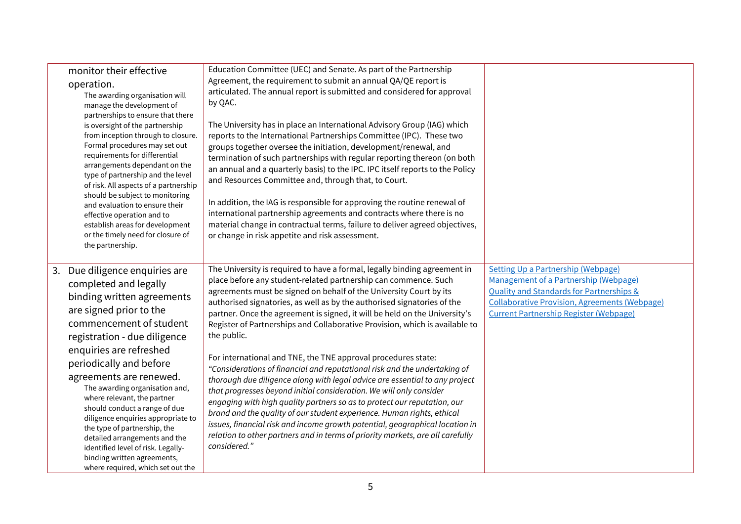|    | monitor their effective<br>operation.<br>The awarding organisation will<br>manage the development of<br>partnerships to ensure that there<br>is oversight of the partnership<br>from inception through to closure.<br>Formal procedures may set out<br>requirements for differential<br>arrangements dependant on the<br>type of partnership and the level<br>of risk. All aspects of a partnership<br>should be subject to monitoring<br>and evaluation to ensure their<br>effective operation and to<br>establish areas for development<br>or the timely need for closure of<br>the partnership. | Education Committee (UEC) and Senate. As part of the Partnership<br>Agreement, the requirement to submit an annual QA/QE report is<br>articulated. The annual report is submitted and considered for approval<br>by QAC.<br>The University has in place an International Advisory Group (IAG) which<br>reports to the International Partnerships Committee (IPC). These two<br>groups together oversee the initiation, development/renewal, and<br>termination of such partnerships with regular reporting thereon (on both<br>an annual and a quarterly basis) to the IPC. IPC itself reports to the Policy<br>and Resources Committee and, through that, to Court.<br>In addition, the IAG is responsible for approving the routine renewal of<br>international partnership agreements and contracts where there is no<br>material change in contractual terms, failure to deliver agreed objectives,<br>or change in risk appetite and risk assessment.                                                                                                                                                            |                                                                                                                                                                                                                                  |
|----|----------------------------------------------------------------------------------------------------------------------------------------------------------------------------------------------------------------------------------------------------------------------------------------------------------------------------------------------------------------------------------------------------------------------------------------------------------------------------------------------------------------------------------------------------------------------------------------------------|-----------------------------------------------------------------------------------------------------------------------------------------------------------------------------------------------------------------------------------------------------------------------------------------------------------------------------------------------------------------------------------------------------------------------------------------------------------------------------------------------------------------------------------------------------------------------------------------------------------------------------------------------------------------------------------------------------------------------------------------------------------------------------------------------------------------------------------------------------------------------------------------------------------------------------------------------------------------------------------------------------------------------------------------------------------------------------------------------------------------------|----------------------------------------------------------------------------------------------------------------------------------------------------------------------------------------------------------------------------------|
| 3. | Due diligence enquiries are<br>completed and legally<br>binding written agreements<br>are signed prior to the<br>commencement of student<br>registration - due diligence<br>enquiries are refreshed<br>periodically and before<br>agreements are renewed.<br>The awarding organisation and,<br>where relevant, the partner<br>should conduct a range of due<br>diligence enquiries appropriate to<br>the type of partnership, the<br>detailed arrangements and the<br>identified level of risk. Legally-<br>binding written agreements,<br>where required, which set out the                       | The University is required to have a formal, legally binding agreement in<br>place before any student-related partnership can commence. Such<br>agreements must be signed on behalf of the University Court by its<br>authorised signatories, as well as by the authorised signatories of the<br>partner. Once the agreement is signed, it will be held on the University's<br>Register of Partnerships and Collaborative Provision, which is available to<br>the public.<br>For international and TNE, the TNE approval procedures state:<br>"Considerations of financial and reputational risk and the undertaking of<br>thorough due diligence along with legal advice are essential to any project<br>that progresses beyond initial consideration. We will only consider<br>engaging with high quality partners so as to protect our reputation, our<br>brand and the quality of our student experience. Human rights, ethical<br>issues, financial risk and income growth potential, geographical location in<br>relation to other partners and in terms of priority markets, are all carefully<br>considered." | Setting Up a Partnership (Webpage)<br>Management of a Partnership (Webpage)<br>Quality and Standards for Partnerships &<br><b>Collaborative Provision, Agreements (Webpage)</b><br><b>Current Partnership Register (Webpage)</b> |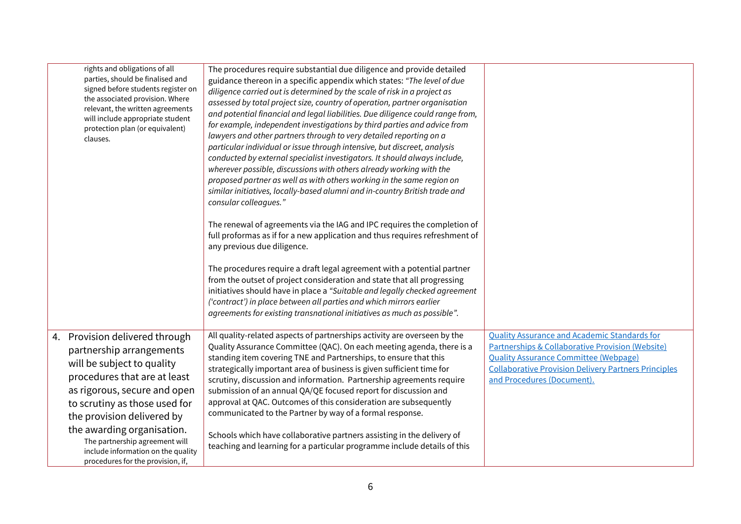| rights and obligations of all<br>parties, should be finalised and<br>signed before students register on<br>the associated provision. Where<br>relevant, the written agreements<br>will include appropriate student<br>protection plan (or equivalent)<br>clauses.                                                                                                  | The procedures require substantial due diligence and provide detailed<br>guidance thereon in a specific appendix which states: "The level of due<br>diligence carried out is determined by the scale of risk in a project as<br>assessed by total project size, country of operation, partner organisation<br>and potential financial and legal liabilities. Due diligence could range from,<br>for example, independent investigations by third parties and advice from<br>lawyers and other partners through to very detailed reporting on a<br>particular individual or issue through intensive, but discreet, analysis<br>conducted by external specialist investigators. It should always include,<br>wherever possible, discussions with others already working with the<br>proposed partner as well as with others working in the same region on<br>similar initiatives, locally-based alumni and in-country British trade and<br>consular colleagues."<br>The renewal of agreements via the IAG and IPC requires the completion of<br>full proformas as if for a new application and thus requires refreshment of<br>any previous due diligence.<br>The procedures require a draft legal agreement with a potential partner<br>from the outset of project consideration and state that all progressing<br>initiatives should have in place a "Suitable and legally checked agreement<br>('contract') in place between all parties and which mirrors earlier<br>agreements for existing transnational initiatives as much as possible". |                                                                                                                                                                                                                                                                 |
|--------------------------------------------------------------------------------------------------------------------------------------------------------------------------------------------------------------------------------------------------------------------------------------------------------------------------------------------------------------------|------------------------------------------------------------------------------------------------------------------------------------------------------------------------------------------------------------------------------------------------------------------------------------------------------------------------------------------------------------------------------------------------------------------------------------------------------------------------------------------------------------------------------------------------------------------------------------------------------------------------------------------------------------------------------------------------------------------------------------------------------------------------------------------------------------------------------------------------------------------------------------------------------------------------------------------------------------------------------------------------------------------------------------------------------------------------------------------------------------------------------------------------------------------------------------------------------------------------------------------------------------------------------------------------------------------------------------------------------------------------------------------------------------------------------------------------------------------------------------------------------------------------------------------------|-----------------------------------------------------------------------------------------------------------------------------------------------------------------------------------------------------------------------------------------------------------------|
| 4. Provision delivered through<br>partnership arrangements<br>will be subject to quality<br>procedures that are at least<br>as rigorous, secure and open<br>to scrutiny as those used for<br>the provision delivered by<br>the awarding organisation.<br>The partnership agreement will<br>include information on the quality<br>procedures for the provision, if, | All quality-related aspects of partnerships activity are overseen by the<br>Quality Assurance Committee (QAC). On each meeting agenda, there is a<br>standing item covering TNE and Partnerships, to ensure that this<br>strategically important area of business is given sufficient time for<br>scrutiny, discussion and information. Partnership agreements require<br>submission of an annual QA/QE focused report for discussion and<br>approval at QAC. Outcomes of this consideration are subsequently<br>communicated to the Partner by way of a formal response.<br>Schools which have collaborative partners assisting in the delivery of<br>teaching and learning for a particular programme include details of this                                                                                                                                                                                                                                                                                                                                                                                                                                                                                                                                                                                                                                                                                                                                                                                                                | <b>Quality Assurance and Academic Standards for</b><br><b>Partnerships &amp; Collaborative Provision (Website)</b><br><b>Quality Assurance Committee (Webpage)</b><br><b>Collaborative Provision Delivery Partners Principles</b><br>and Procedures (Document). |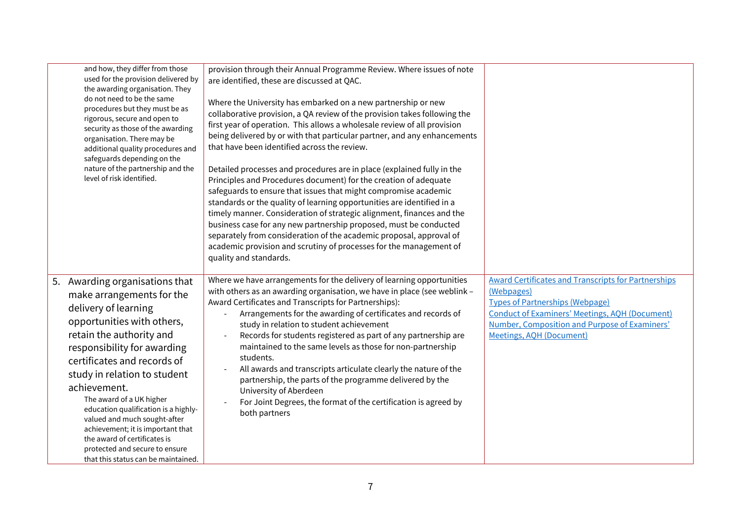| and how, they differ from those<br>used for the provision delivered by<br>the awarding organisation. They<br>do not need to be the same<br>procedures but they must be as<br>rigorous, secure and open to<br>security as those of the awarding<br>organisation. There may be<br>additional quality procedures and<br>safeguards depending on the<br>nature of the partnership and the<br>level of risk identified.                                                                                            | provision through their Annual Programme Review. Where issues of note<br>are identified, these are discussed at QAC.<br>Where the University has embarked on a new partnership or new<br>collaborative provision, a QA review of the provision takes following the<br>first year of operation. This allows a wholesale review of all provision<br>being delivered by or with that particular partner, and any enhancements<br>that have been identified across the review.<br>Detailed processes and procedures are in place (explained fully in the<br>Principles and Procedures document) for the creation of adequate<br>safeguards to ensure that issues that might compromise academic<br>standards or the quality of learning opportunities are identified in a<br>timely manner. Consideration of strategic alignment, finances and the<br>business case for any new partnership proposed, must be conducted<br>separately from consideration of the academic proposal, approval of<br>academic provision and scrutiny of processes for the management of<br>quality and standards. |                                                                                                                                                                                                                                                          |
|---------------------------------------------------------------------------------------------------------------------------------------------------------------------------------------------------------------------------------------------------------------------------------------------------------------------------------------------------------------------------------------------------------------------------------------------------------------------------------------------------------------|--------------------------------------------------------------------------------------------------------------------------------------------------------------------------------------------------------------------------------------------------------------------------------------------------------------------------------------------------------------------------------------------------------------------------------------------------------------------------------------------------------------------------------------------------------------------------------------------------------------------------------------------------------------------------------------------------------------------------------------------------------------------------------------------------------------------------------------------------------------------------------------------------------------------------------------------------------------------------------------------------------------------------------------------------------------------------------------------|----------------------------------------------------------------------------------------------------------------------------------------------------------------------------------------------------------------------------------------------------------|
| 5. Awarding organisations that<br>make arrangements for the<br>delivery of learning<br>opportunities with others,<br>retain the authority and<br>responsibility for awarding<br>certificates and records of<br>study in relation to student<br>achievement.<br>The award of a UK higher<br>education qualification is a highly-<br>valued and much sought-after<br>achievement; it is important that<br>the award of certificates is<br>protected and secure to ensure<br>that this status can be maintained. | Where we have arrangements for the delivery of learning opportunities<br>with others as an awarding organisation, we have in place (see weblink -<br>Award Certificates and Transcripts for Partnerships):<br>Arrangements for the awarding of certificates and records of<br>study in relation to student achievement<br>Records for students registered as part of any partnership are<br>maintained to the same levels as those for non-partnership<br>students.<br>All awards and transcripts articulate clearly the nature of the<br>partnership, the parts of the programme delivered by the<br>University of Aberdeen<br>For Joint Degrees, the format of the certification is agreed by<br>both partners                                                                                                                                                                                                                                                                                                                                                                           | <b>Award Certificates and Transcripts for Partnerships</b><br>(Webpages)<br><b>Types of Partnerships (Webpage)</b><br><b>Conduct of Examiners' Meetings, AOH (Document)</b><br>Number, Composition and Purpose of Examiners'<br>Meetings, AOH (Document) |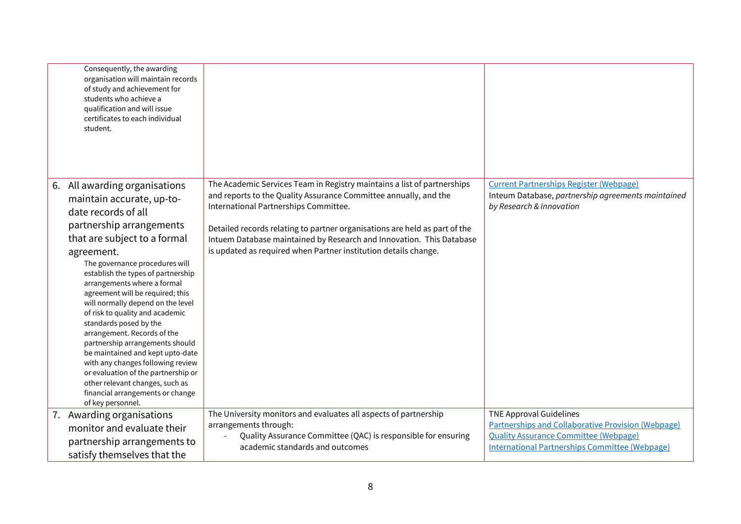| Consequently, the awarding<br>organisation will maintain records<br>of study and achievement for<br>students who achieve a<br>qualification and will issue<br>certificates to each individual<br>student.                                                                                                                                                                                                                                                                                                                                                                                                                |                                                                                                                                                                                                                       |                                                                                                                                                                                                      |
|--------------------------------------------------------------------------------------------------------------------------------------------------------------------------------------------------------------------------------------------------------------------------------------------------------------------------------------------------------------------------------------------------------------------------------------------------------------------------------------------------------------------------------------------------------------------------------------------------------------------------|-----------------------------------------------------------------------------------------------------------------------------------------------------------------------------------------------------------------------|------------------------------------------------------------------------------------------------------------------------------------------------------------------------------------------------------|
| 6. All awarding organisations<br>maintain accurate, up-to-                                                                                                                                                                                                                                                                                                                                                                                                                                                                                                                                                               | The Academic Services Team in Registry maintains a list of partnerships<br>and reports to the Quality Assurance Committee annually, and the<br>International Partnerships Committee.                                  | <b>Current Partnerships Register (Webpage)</b><br>Inteum Database, partnership agreements maintained<br>by Research & Innovation                                                                     |
| date records of all<br>partnership arrangements<br>that are subject to a formal<br>agreement.<br>The governance procedures will<br>establish the types of partnership<br>arrangements where a formal<br>agreement will be required; this<br>will normally depend on the level<br>of risk to quality and academic<br>standards posed by the<br>arrangement. Records of the<br>partnership arrangements should<br>be maintained and kept upto-date<br>with any changes following review<br>or evaluation of the partnership or<br>other relevant changes, such as<br>financial arrangements or change<br>of key personnel. | Detailed records relating to partner organisations are held as part of the<br>Intuem Database maintained by Research and Innovation. This Database<br>is updated as required when Partner institution details change. |                                                                                                                                                                                                      |
| 7. Awarding organisations<br>monitor and evaluate their<br>partnership arrangements to<br>satisfy themselves that the                                                                                                                                                                                                                                                                                                                                                                                                                                                                                                    | The University monitors and evaluates all aspects of partnership<br>arrangements through:<br>Quality Assurance Committee (QAC) is responsible for ensuring<br>academic standards and outcomes                         | <b>TNE Approval Guidelines</b><br><b>Partnerships and Collaborative Provision (Webpage)</b><br><b>Quality Assurance Committee (Webpage)</b><br><b>International Partnerships Committee (Webpage)</b> |